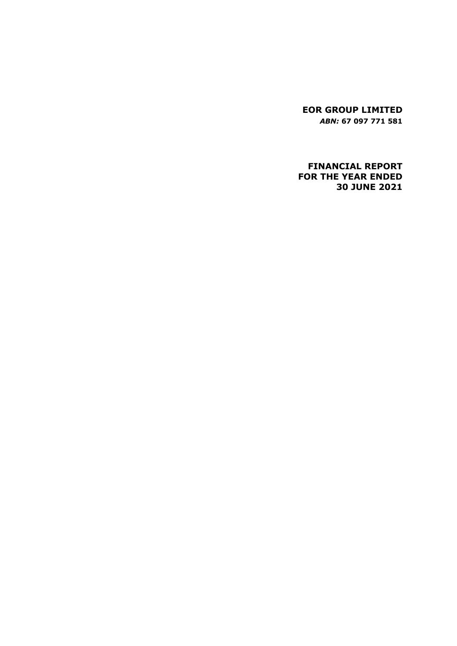**EOR GROUP LIMITED** *ABN:* **67 097 771 581**

# **FINANCIAL REPORT FOR THE YEAR ENDED 30 JUNE 2021**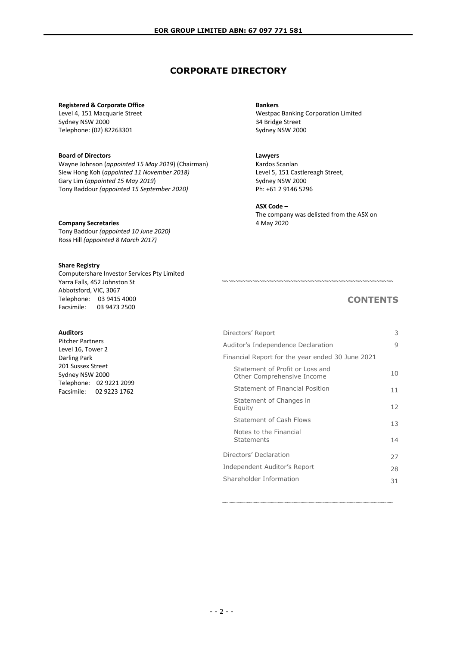# **CORPORATE DIRECTORY**

#### **Registered & Corporate Office**

Level 4, 151 Macquarie Street Sydney NSW 2000 Telephone: (02) 82263301

#### **Board of Directors**

Wayne Johnson (*appointed 15 May 2019*) (Chairman) Siew Hong Koh (*appointed 11 November 2018)* Gary Lim (*appointed 15 May 2019*) Tony Baddour *(appointed 15 September 2020)*

#### **Company Secretaries**

Tony Baddour *(appointed 10 June 2020)* Ross Hill *(appointed 8 March 2017)*

### **Share Registry**

Computershare Investor Services Pty Limited Yarra Falls, 452 Johnston St Abbotsford, VIC, 3067 Telephone: 03 9415 4000<br>Facsimile: 03 9473 2500 03 9473 2500

## **Auditors**

Pitcher Partners Level 16, Tower 2 Darling Park 201 Sussex Street Sydney NSW 2000 Telephone: 02 9221 2099 Facsimile: 02 9223 1762

#### **Bankers**

Westpac Banking Corporation Limited 34 Bridge Street Sydney NSW 2000

#### **Lawyers**

Kardos Scanlan Level 5, 151 Castlereagh Street, Sydney NSW 2000 Ph: +61 2 9146 5296

#### **ASX Code –**

The company was delisted from the ASX on 4 May 2020

~~~~~~~~~~~~~~~~~~~~~~~~~~~~~~~~~~~~~~~~~~~~~~~~~~

# **CONTENTS**

| Directors' Report                                             | 3  |
|---------------------------------------------------------------|----|
| Auditor's Independence Declaration                            | 9  |
| Financial Report for the year ended 30 June 2021              |    |
| Statement of Profit or Loss and<br>Other Comprehensive Income | 10 |
| Statement of Financial Position                               | 11 |
| Statement of Changes in<br>Equity                             | 12 |
| Statement of Cash Flows                                       | 13 |
| Notes to the Financial<br>Statements                          | 14 |
| Directors' Declaration                                        | 27 |
| Independent Auditor's Report                                  | 28 |
| Shareholder Information                                       | 31 |
|                                                               |    |

~~~~~~~~~~~~~~~~~~~~~~~~~~~~~~~~~~~~~~~~~~~~~~~~~~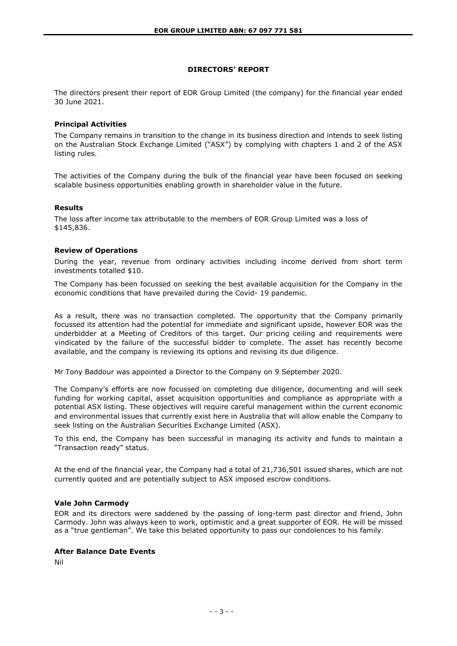## **DIRECTORS' REPORT**

The directors present their report of EOR Group Limited (the company) for the financial year ended 30 June 2021.

### **Principal Activities**

The Company remains in transition to the change in its business direction and intends to seek listing on the Australian Stock Exchange Limited ("ASX") by complying with chapters 1 and 2 of the ASX listing rules.

The activities of the Company during the bulk of the financial year have been focused on seeking scalable business opportunities enabling growth in shareholder value in the future.

### **Results**

The loss after income tax attributable to the members of EOR Group Limited was a loss of \$145,836.

#### **Review of Operations**

During the year, revenue from ordinary activities including income derived from short term investments totalled \$10.

The Company has been focussed on seeking the best available acquisition for the Company in the economic conditions that have prevailed during the Covid- 19 pandemic.

As a result, there was no transaction completed. The opportunity that the Company primarily focussed its attention had the potential for immediate and significant upside, however EOR was the underbidder at a Meeting of Creditors of this target. Our pricing ceiling and requirements were vindicated by the failure of the successful bidder to complete. The asset has recently become available, and the company is reviewing its options and revising its due diligence.

Mr Tony Baddour was appointed a Director to the Company on 9 September 2020.

The Company's efforts are now focussed on completing due diligence, documenting and will seek funding for working capital, asset acquisition opportunities and compliance as appropriate with a potential ASX listing. These objectives will require careful management within the current economic and environmental issues that currently exist here in Australia that will allow enable the Company to seek listing on the Australian Securities Exchange Limited (ASX).

To this end, the Company has been successful in managing its activity and funds to maintain a "Transaction ready" status.

At the end of the financial year, the Company had a total of 21,736,501 issued shares, which are not currently quoted and are potentially subject to ASX imposed escrow conditions.

### **Vale John Carmody**

EOR and its directors were saddened by the passing of long-term past director and friend, John Carmody. John was always keen to work, optimistic and a great supporter of EOR. He will be missed as a "true gentleman". We take this belated opportunity to pass our condolences to his family.

#### **After Balance Date Events**

Nil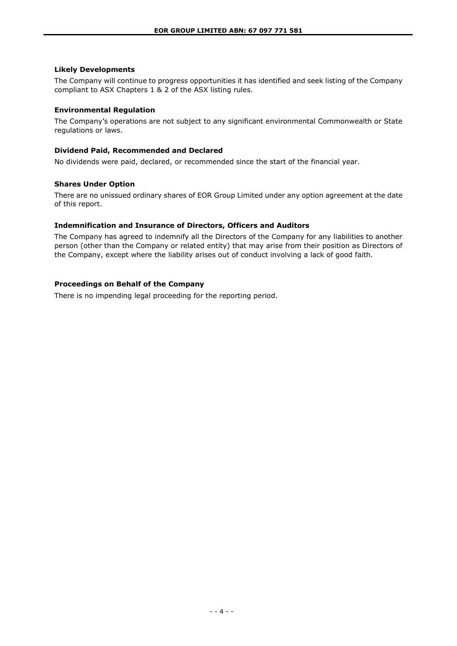## **Likely Developments**

The Company will continue to progress opportunities it has identified and seek listing of the Company compliant to ASX Chapters 1 & 2 of the ASX listing rules.

### **Environmental Regulation**

The Company's operations are not subject to any significant environmental Commonwealth or State regulations or laws.

### **Dividend Paid, Recommended and Declared**

No dividends were paid, declared, or recommended since the start of the financial year.

### **Shares Under Option**

There are no unissued ordinary shares of EOR Group Limited under any option agreement at the date of this report.

### **Indemnification and Insurance of Directors, Officers and Auditors**

The Company has agreed to indemnify all the Directors of the Company for any liabilities to another person (other than the Company or related entity) that may arise from their position as Directors of the Company, except where the liability arises out of conduct involving a lack of good faith.

### **Proceedings on Behalf of the Company**

There is no impending legal proceeding for the reporting period.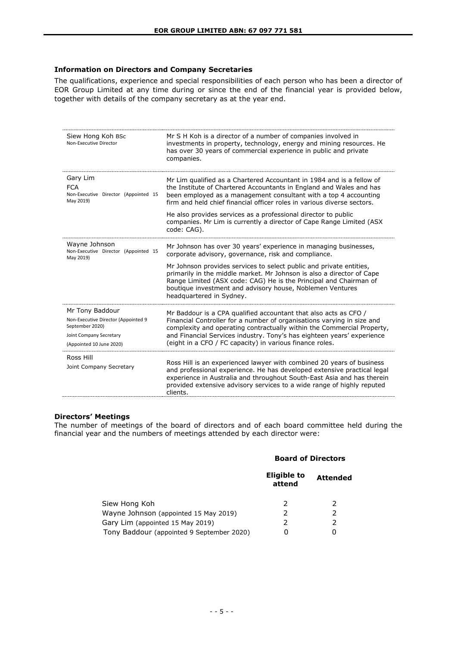#### **Information on Directors and Company Secretaries**

The qualifications, experience and special responsibilities of each person who has been a director of EOR Group Limited at any time during or since the end of the financial year is provided below, together with details of the company secretary as at the year end.

| Siew Hong Koh BSc<br>Non-Executive Director                                                                                      | Mr S H Koh is a director of a number of companies involved in<br>investments in property, technology, energy and mining resources. He<br>has over 30 years of commercial experience in public and private<br>companies.                                                                                                                                                                                                                |
|----------------------------------------------------------------------------------------------------------------------------------|----------------------------------------------------------------------------------------------------------------------------------------------------------------------------------------------------------------------------------------------------------------------------------------------------------------------------------------------------------------------------------------------------------------------------------------|
| Gary Lim<br><b>FCA</b><br>Non-Executive Director (Appointed 15<br>May 2019)                                                      | Mr Lim qualified as a Chartered Accountant in 1984 and is a fellow of<br>the Institute of Chartered Accountants in England and Wales and has<br>been employed as a management consultant with a top 4 accounting<br>firm and held chief financial officer roles in various diverse sectors.                                                                                                                                            |
|                                                                                                                                  | He also provides services as a professional director to public<br>companies. Mr Lim is currently a director of Cape Range Limited (ASX<br>code: CAG).                                                                                                                                                                                                                                                                                  |
| Wayne Johnson<br>Non-Executive Director (Appointed 15<br>May 2019)                                                               | Mr Johnson has over 30 years' experience in managing businesses,<br>corporate advisory, governance, risk and compliance.<br>Mr Johnson provides services to select public and private entities,<br>primarily in the middle market. Mr Johnson is also a director of Cape<br>Range Limited (ASX code: CAG) He is the Principal and Chairman of<br>boutique investment and advisory house, Noblemen Ventures<br>headquartered in Sydney. |
| Mr Tony Baddour<br>Non-Executive Director (Appointed 9<br>September 2020)<br>Joint Company Secretary<br>(Appointed 10 June 2020) | Mr Baddour is a CPA qualified accountant that also acts as CFO /<br>Financial Controller for a number of organisations varying in size and<br>complexity and operating contractually within the Commercial Property,<br>and Financial Services industry. Tony's has eighteen years' experience<br>(eight in a CFO / FC capacity) in various finance roles.                                                                             |
| Ross Hill<br>Joint Company Secretary                                                                                             | Ross Hill is an experienced lawyer with combined 20 years of business<br>and professional experience. He has developed extensive practical legal<br>experience in Australia and throughout South-East Asia and has therein<br>provided extensive advisory services to a wide range of highly reputed<br>clients.                                                                                                                       |

## **Directors' Meetings**

The number of meetings of the board of directors and of each board committee held during the financial year and the numbers of meetings attended by each director were:

### **Board of Directors**

|                                           | Eligible to<br>attend | <b>Attended</b> |
|-------------------------------------------|-----------------------|-----------------|
| Siew Hong Koh                             |                       |                 |
| Wayne Johnson (appointed 15 May 2019)     |                       |                 |
| Gary Lim (appointed 15 May 2019)          |                       |                 |
| Tony Baddour (appointed 9 September 2020) |                       |                 |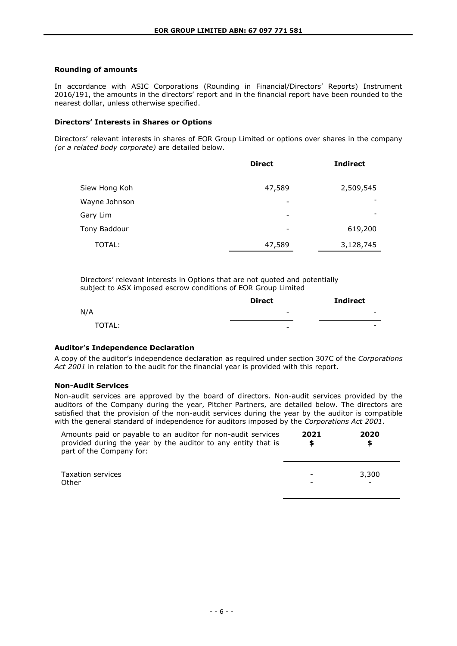### **Rounding of amounts**

In accordance with ASIC Corporations (Rounding in Financial/Directors' Reports) Instrument 2016/191, the amounts in the directors' report and in the financial report have been rounded to the nearest dollar, unless otherwise specified.

### **Directors' Interests in Shares or Options**

Directors' relevant interests in shares of EOR Group Limited or options over shares in the company *(or a related body corporate)* are detailed below.

|               | <b>Direct</b>            | <b>Indirect</b> |
|---------------|--------------------------|-----------------|
| Siew Hong Koh | 47,589                   | 2,509,545       |
| Wayne Johnson |                          |                 |
| Gary Lim      | -                        |                 |
| Tony Baddour  | $\overline{\phantom{a}}$ | 619,200         |
| TOTAL:        | 47,589                   | 3,128,745       |

Directors' relevant interests in Options that are not quoted and potentially subject to ASX imposed escrow conditions of EOR Group Limited

|        | <b>Direct</b>            | <b>Indirect</b>          |
|--------|--------------------------|--------------------------|
| N/A    | $\overline{\phantom{a}}$ | $\overline{\phantom{0}}$ |
| TOTAL: | $\overline{\phantom{a}}$ | $\overline{\phantom{0}}$ |

### **Auditor's Independence Declaration**

A copy of the auditor's independence declaration as required under section 307C of the *Corporations Act 2001* in relation to the audit for the financial year is provided with this report.

### **Non-Audit Services**

Non-audit services are approved by the board of directors. Non-audit services provided by the auditors of the Company during the year, Pitcher Partners, are detailed below. The directors are satisfied that the provision of the non-audit services during the year by the auditor is compatible with the general standard of independence for auditors imposed by the *Corporations Act 2001*.

| Amounts paid or payable to an auditor for non-audit services<br>provided during the year by the auditor to any entity that is<br>part of the Company for: | 2021<br>S | 2020<br>S |
|-----------------------------------------------------------------------------------------------------------------------------------------------------------|-----------|-----------|
| Taxation services<br>Other                                                                                                                                |           | 3,300     |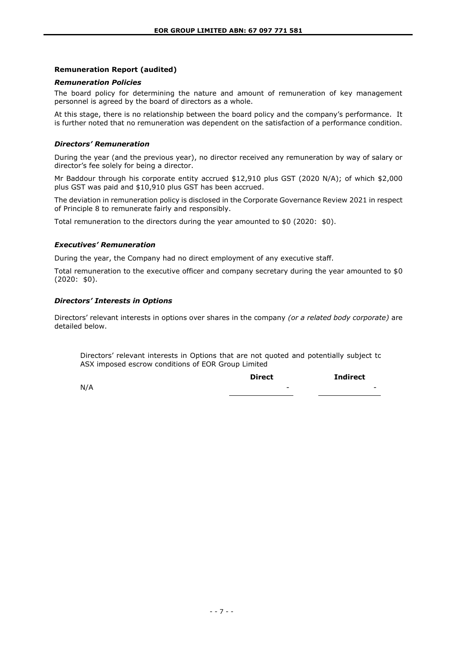### **Remuneration Report (audited)**

### *Remuneration Policies*

The board policy for determining the nature and amount of remuneration of key management personnel is agreed by the board of directors as a whole.

At this stage, there is no relationship between the board policy and the company's performance. It is further noted that no remuneration was dependent on the satisfaction of a performance condition.

#### *Directors' Remuneration*

During the year (and the previous year), no director received any remuneration by way of salary or director's fee solely for being a director.

Mr Baddour through his corporate entity accrued \$12,910 plus GST (2020 N/A); of which \$2,000 plus GST was paid and \$10,910 plus GST has been accrued.

The deviation in remuneration policy is disclosed in the Corporate Governance Review 2021 in respect of Principle 8 to remunerate fairly and responsibly.

Total remuneration to the directors during the year amounted to  $$0$  (2020:  $$0)$ .

#### *Executives' Remuneration*

During the year, the Company had no direct employment of any executive staff.

Total remuneration to the executive officer and company secretary during the year amounted to \$0 (2020: \$0).

### *Directors' Interests in Options*

Directors' relevant interests in options over shares in the company *(or a related body corporate)* are detailed below.

Directors' relevant interests in Options that are not quoted and potentially subject to ASX imposed escrow conditions of EOR Group Limited

|     | <b>Direct</b>            | <b>Indirect</b>          |
|-----|--------------------------|--------------------------|
| N/A | $\overline{\phantom{0}}$ | $\overline{\phantom{0}}$ |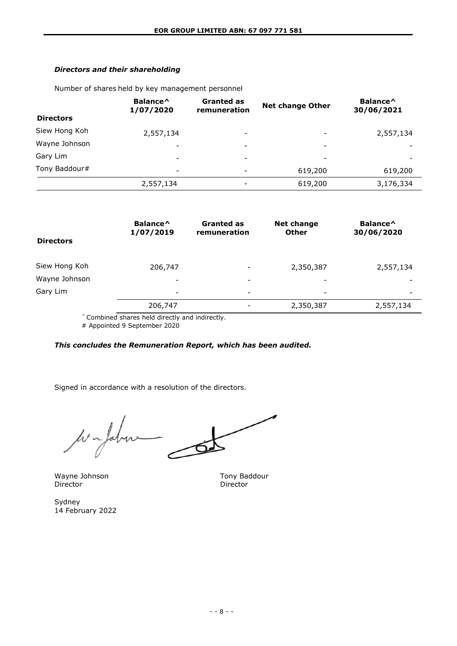# *Directors and their shareholding*

Number of shares held by key management personnel

| <b>Directors</b> | Balance <sup>^</sup><br>1/07/2020 | <b>Granted as</b><br>remuneration | <b>Net change Other</b>  | Balance <sup>^</sup><br>30/06/2021 |
|------------------|-----------------------------------|-----------------------------------|--------------------------|------------------------------------|
| Siew Hong Koh    | 2,557,134                         | $\overline{\phantom{0}}$          | $\overline{\phantom{a}}$ | 2,557,134                          |
| Wayne Johnson    | ۰                                 | $\overline{\phantom{0}}$          | -                        |                                    |
| Gary Lim         | $\overline{\phantom{a}}$          | $\overline{\phantom{0}}$          | $\overline{\phantom{a}}$ |                                    |
| Tony Baddour#    | $\overline{\phantom{a}}$          | $\overline{\phantom{0}}$          | 619,200                  | 619,200                            |
|                  | 2,557,134                         | -                                 | 619,200                  | 3,176,334                          |

| <b>Directors</b> | Balance <sup>^</sup><br>1/07/2019 | <b>Granted as</b><br>remuneration | <b>Net change</b><br><b>Other</b> | Balance <sup>^</sup><br>30/06/2020 |
|------------------|-----------------------------------|-----------------------------------|-----------------------------------|------------------------------------|
| Siew Hong Koh    | 206,747                           | $\overline{\phantom{a}}$          | 2,350,387                         | 2,557,134                          |
| Wayne Johnson    | -                                 | $\overline{\phantom{a}}$          | -                                 |                                    |
| Gary Lim         | $\overline{\phantom{a}}$          | $\overline{\phantom{a}}$          | -                                 | -                                  |
|                  | 206,747                           | $\overline{\phantom{a}}$          | 2,350,387                         | 2,557,134                          |

^ Combined shares held directly and indirectly.

# Appointed 9 September 2020

## *This concludes the Remuneration Report, which has been audited.*

Signed in accordance with a resolution of the directors.

⊿  $\mu$ Jahn

Wayne Johnson Tony Baddour<br>
Director Tony Baddour<br>
Director Director

Sydney 14 February 2022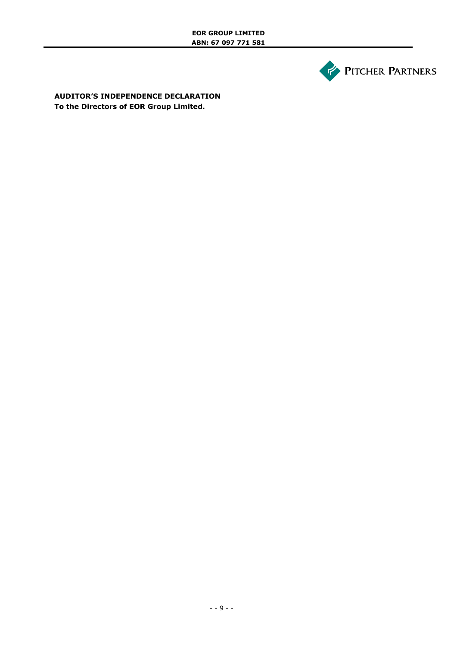

**AUDITOR'S INDEPENDENCE DECLARATION To the Directors of EOR Group Limited.**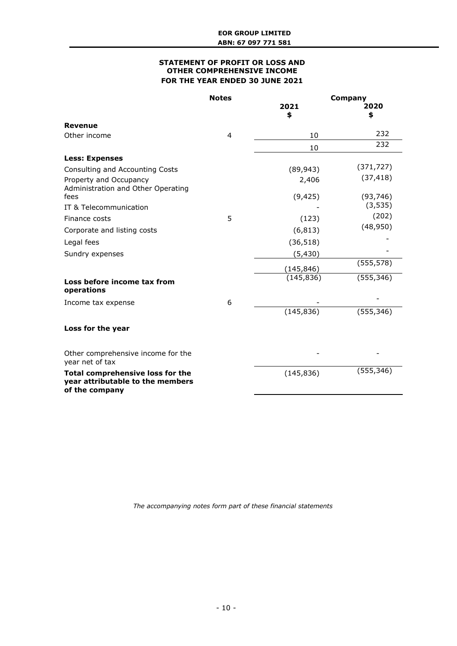### **STATEMENT OF PROFIT OR LOSS AND OTHER COMPREHENSIVE INCOME FOR THE YEAR ENDED 30 JUNE 2021**

|                                                                                               | <b>Notes</b>   | <b>Company</b> |            |
|-----------------------------------------------------------------------------------------------|----------------|----------------|------------|
|                                                                                               |                | 2021           | 2020       |
|                                                                                               |                | \$             | \$         |
| Revenue                                                                                       |                |                |            |
| Other income                                                                                  | $\overline{4}$ | 10             | 232        |
|                                                                                               |                | 10             | 232        |
| <b>Less: Expenses</b>                                                                         |                |                |            |
| Consulting and Accounting Costs                                                               |                | (89, 943)      | (371, 727) |
| Property and Occupancy<br>Administration and Other Operating                                  |                | 2,406          | (37, 418)  |
| fees                                                                                          |                | (9, 425)       | (93, 746)  |
| IT & Telecommunication                                                                        |                |                | (3, 535)   |
| Finance costs                                                                                 | 5              | (123)          | (202)      |
| Corporate and listing costs                                                                   |                | (6, 813)       | (48, 950)  |
| Legal fees                                                                                    |                | (36, 518)      |            |
| Sundry expenses                                                                               |                | (5,430)        |            |
|                                                                                               |                | (145, 846)     | (555, 578) |
| Loss before income tax from<br>operations                                                     |                | (145, 836)     | (555, 346) |
| Income tax expense                                                                            | 6              |                |            |
|                                                                                               |                | (145, 836)     | (555, 346) |
| Loss for the year                                                                             |                |                |            |
| Other comprehensive income for the<br>year net of tax                                         |                |                |            |
| <b>Total comprehensive loss for the</b><br>year attributable to the members<br>of the company |                | (145, 836)     | (555, 346) |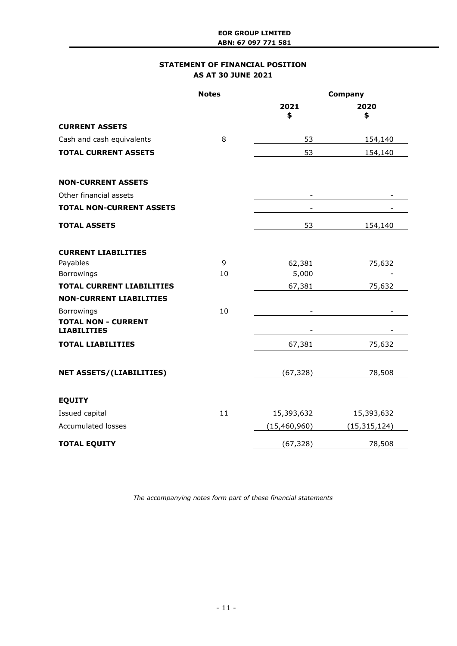# **STATEMENT OF FINANCIAL POSITION AS AT 30 JUNE 2021**

|                                                                | <b>Notes</b> | Company        |                |
|----------------------------------------------------------------|--------------|----------------|----------------|
|                                                                |              | 2021<br>\$     | 2020<br>\$     |
| <b>CURRENT ASSETS</b>                                          |              |                |                |
| Cash and cash equivalents                                      | 8            | 53             | 154,140        |
| <b>TOTAL CURRENT ASSETS</b>                                    |              | 53             | 154,140        |
| <b>NON-CURRENT ASSETS</b>                                      |              |                |                |
| Other financial assets                                         |              |                |                |
| <b>TOTAL NON-CURRENT ASSETS</b>                                |              |                |                |
| <b>TOTAL ASSETS</b>                                            |              | 53             | 154,140        |
| <b>CURRENT LIABILITIES</b>                                     |              |                |                |
| Payables                                                       | 9            | 62,381         | 75,632         |
| Borrowings                                                     | 10           | 5,000          |                |
| <b>TOTAL CURRENT LIABILITIES</b>                               |              | 67,381         | 75,632         |
| <b>NON-CURRENT LIABILITIES</b>                                 |              |                |                |
| Borrowings<br><b>TOTAL NON - CURRENT</b><br><b>LIABILITIES</b> | 10           |                |                |
| <b>TOTAL LIABILITIES</b>                                       |              | 67,381         | 75,632         |
| <b>NET ASSETS/(LIABILITIES)</b>                                |              | (67, 328)      | 78,508         |
| <b>EQUITY</b>                                                  |              |                |                |
| Issued capital                                                 | 11           | 15,393,632     | 15,393,632     |
| <b>Accumulated losses</b>                                      |              | (15, 460, 960) | (15, 315, 124) |
| <b>TOTAL EQUITY</b>                                            |              | (67, 328)      | 78,508         |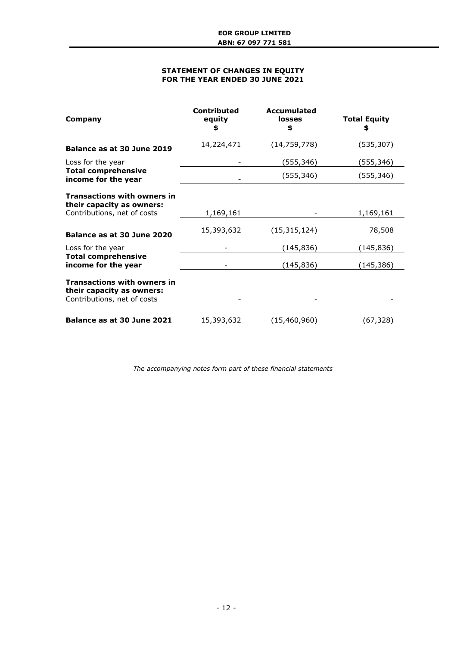### **STATEMENT OF CHANGES IN EQUITY FOR THE YEAR ENDED 30 JUNE 2021**

| Company                                                                                        | <b>Contributed</b><br>equity<br>\$ | <b>Accumulated</b><br>losses<br>\$ | <b>Total Equity</b><br>\$ |
|------------------------------------------------------------------------------------------------|------------------------------------|------------------------------------|---------------------------|
| Balance as at 30 June 2019                                                                     | 14,224,471                         | (14, 759, 778)                     | (535, 307)                |
| Loss for the year                                                                              |                                    | (555,346)                          | (555,346)                 |
| <b>Total comprehensive</b><br>income for the year                                              |                                    | (555, 346)                         | (555, 346)                |
| <b>Transactions with owners in</b><br>their capacity as owners:                                |                                    |                                    |                           |
| Contributions, net of costs                                                                    | 1,169,161                          |                                    | 1,169,161                 |
| Balance as at 30 June 2020                                                                     | 15,393,632                         | (15, 315, 124)                     | 78,508                    |
| Loss for the year                                                                              |                                    | (145,836)                          | (145,836)                 |
| <b>Total comprehensive</b><br>income for the year                                              |                                    | (145, 836)                         | (145, 386)                |
| <b>Transactions with owners in</b><br>their capacity as owners:<br>Contributions, net of costs |                                    |                                    |                           |
| Balance as at 30 June 2021                                                                     | 15,393,632                         | (15,460,960)                       | (67,328)                  |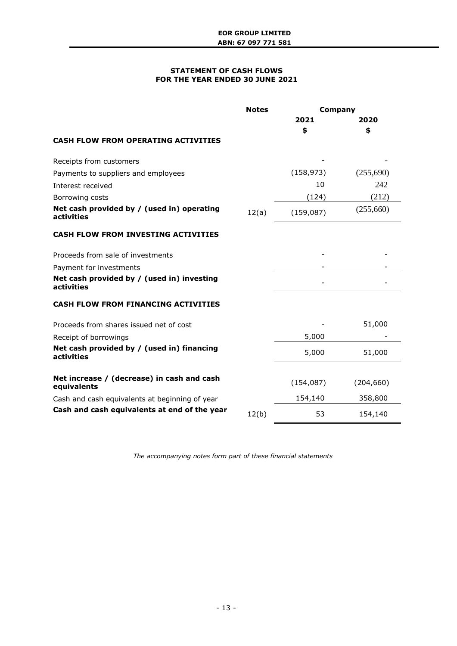### **STATEMENT OF CASH FLOWS FOR THE YEAR ENDED 30 JUNE 2021**

|                                                           | <b>Notes</b> | Company    |            |
|-----------------------------------------------------------|--------------|------------|------------|
|                                                           |              | 2021       | 2020       |
|                                                           |              | \$         | \$         |
| <b>CASH FLOW FROM OPERATING ACTIVITIES</b>                |              |            |            |
| Receipts from customers                                   |              |            |            |
| Payments to suppliers and employees                       |              | (158, 973) | (255,690)  |
| Interest received                                         |              | 10         | 242        |
| Borrowing costs                                           |              | (124)      | (212)      |
| Net cash provided by / (used in) operating<br>activities  | 12(a)        | (159,087)  | (255,660)  |
| <b>CASH FLOW FROM INVESTING ACTIVITIES</b>                |              |            |            |
| Proceeds from sale of investments                         |              |            |            |
| Payment for investments                                   |              |            |            |
| Net cash provided by / (used in) investing<br>activities  |              |            |            |
| <b>CASH FLOW FROM FINANCING ACTIVITIES</b>                |              |            |            |
| Proceeds from shares issued net of cost                   |              |            | 51,000     |
| Receipt of borrowings                                     |              | 5,000      |            |
| Net cash provided by / (used in) financing<br>activities  |              | 5,000      | 51,000     |
|                                                           |              |            |            |
| Net increase / (decrease) in cash and cash<br>equivalents |              | (154, 087) | (204, 660) |
| Cash and cash equivalents at beginning of year            |              | 154,140    | 358,800    |
| Cash and cash equivalents at end of the year              | 12(b)        | 53         | 154,140    |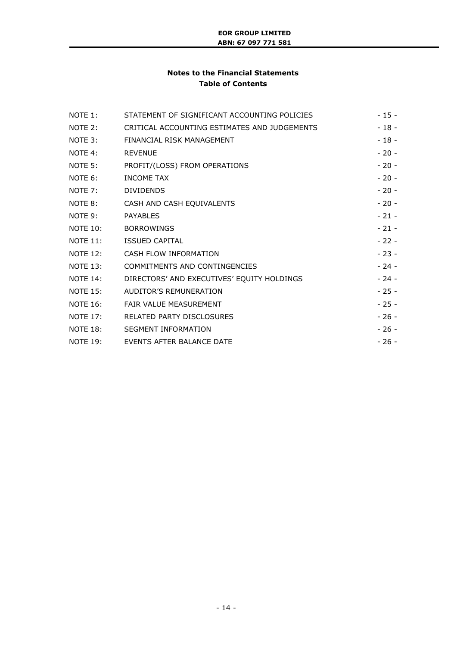# **Notes to the Financial Statements Table of Contents**

| NOTE 1:         | STATEMENT OF SIGNIFICANT ACCOUNTING POLICIES        | $-15-$ |
|-----------------|-----------------------------------------------------|--------|
| NOTE 2:         | CRITICAL ACCOUNTING ESTIMATES AND JUDGEMENTS        | $-18-$ |
|                 | NOTE 3: FINANCIAL RISK MANAGEMENT                   | $-18-$ |
| NOTE 4:         | REVENUE                                             | $-20-$ |
|                 | NOTE 5: PROFIT/(LOSS) FROM OPERATIONS               | $-20-$ |
| NOTE 6:         | <b>INCOME TAX</b>                                   | $-20-$ |
| NOTE 7:         | <b>DIVIDENDS</b>                                    | $-20-$ |
|                 | NOTE 8: CASH AND CASH EQUIVALENTS                   | $-20-$ |
| NOTE 9:         | <b>PAYABLES</b>                                     | $-21-$ |
|                 | NOTE 10: BORROWINGS                                 | $-21-$ |
|                 | NOTE 11: ISSUED CAPITAL                             | $-22-$ |
|                 | NOTE 12: CASH FLOW INFORMATION                      | $-23-$ |
|                 | NOTE 13: COMMITMENTS AND CONTINGENCIES              | $-24-$ |
|                 | NOTE 14: DIRECTORS' AND EXECUTIVES' EQUITY HOLDINGS | $-24-$ |
| <b>NOTE 15:</b> | AUDITOR'S REMUNERATION                              | $-25-$ |
|                 | NOTE 16: FAIR VALUE MEASUREMENT                     | $-25-$ |
|                 | NOTE 17: RELATED PARTY DISCLOSURES                  | $-26-$ |
|                 | NOTE 18: SEGMENT INFORMATION                        | $-26-$ |
|                 | NOTE 19: EVENTS AFTER BALANCE DATE                  | $-26-$ |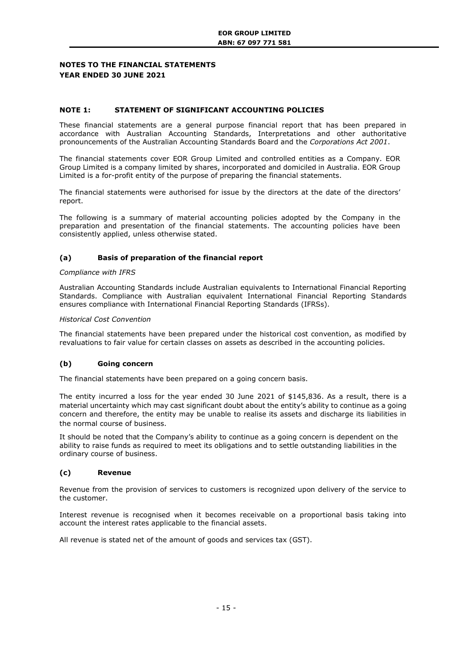### **NOTES TO THE FINANCIAL STATEMENTS YEAR ENDED 30 JUNE 2021**

### <span id="page-14-0"></span>**NOTE 1: STATEMENT OF SIGNIFICANT ACCOUNTING POLICIES**

These financial statements are a general purpose financial report that has been prepared in accordance with Australian Accounting Standards, Interpretations and other authoritative pronouncements of the Australian Accounting Standards Board and the *Corporations Act 2001*.

The financial statements cover EOR Group Limited and controlled entities as a Company. EOR Group Limited is a company limited by shares, incorporated and domiciled in Australia. EOR Group Limited is a for-profit entity of the purpose of preparing the financial statements.

The financial statements were authorised for issue by the directors at the date of the directors' report.

The following is a summary of material accounting policies adopted by the Company in the preparation and presentation of the financial statements. The accounting policies have been consistently applied, unless otherwise stated.

### **(a) Basis of preparation of the financial report**

#### *Compliance with IFRS*

Australian Accounting Standards include Australian equivalents to International Financial Reporting Standards. Compliance with Australian equivalent International Financial Reporting Standards ensures compliance with International Financial Reporting Standards (IFRSs).

### *Historical Cost Convention*

The financial statements have been prepared under the historical cost convention, as modified by revaluations to fair value for certain classes on assets as described in the accounting policies.

### **(b) Going concern**

The financial statements have been prepared on a going concern basis.

The entity incurred a loss for the year ended 30 June 2021 of \$145,836. As a result, there is a material uncertainty which may cast significant doubt about the entity's ability to continue as a going concern and therefore, the entity may be unable to realise its assets and discharge its liabilities in the normal course of business.

It should be noted that the Company's ability to continue as a going concern is dependent on the ability to raise funds as required to meet its obligations and to settle outstanding liabilities in the ordinary course of business.

## **(c) Revenue**

Revenue from the provision of services to customers is recognized upon delivery of the service to the customer.

Interest revenue is recognised when it becomes receivable on a proportional basis taking into account the interest rates applicable to the financial assets.

All revenue is stated net of the amount of goods and services tax (GST).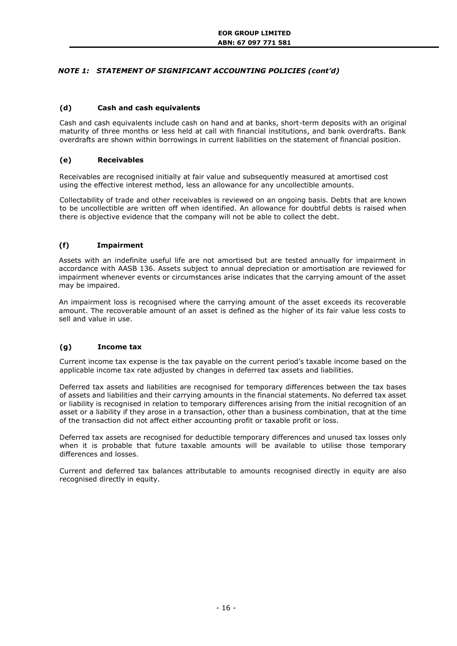# *NOTE 1: STATEMENT OF SIGNIFICANT ACCOUNTING POLICIES (cont'd)*

### **(d) Cash and cash equivalents**

Cash and cash equivalents include cash on hand and at banks, short-term deposits with an original maturity of three months or less held at call with financial institutions, and bank overdrafts. Bank overdrafts are shown within borrowings in current liabilities on the statement of financial position.

### **(e) Receivables**

Receivables are recognised initially at fair value and subsequently measured at amortised cost using the effective interest method, less an allowance for any uncollectible amounts.

Collectability of trade and other receivables is reviewed on an ongoing basis. Debts that are known to be uncollectible are written off when identified. An allowance for doubtful debts is raised when there is objective evidence that the company will not be able to collect the debt.

### **(f) Impairment**

Assets with an indefinite useful life are not amortised but are tested annually for impairment in accordance with AASB 136. Assets subject to annual depreciation or amortisation are reviewed for impairment whenever events or circumstances arise indicates that the carrying amount of the asset may be impaired.

An impairment loss is recognised where the carrying amount of the asset exceeds its recoverable amount. The recoverable amount of an asset is defined as the higher of its fair value less costs to sell and value in use.

# **(g) Income tax**

Current income tax expense is the tax payable on the current period's taxable income based on the applicable income tax rate adjusted by changes in deferred tax assets and liabilities.

Deferred tax assets and liabilities are recognised for temporary differences between the tax bases of assets and liabilities and their carrying amounts in the financial statements. No deferred tax asset or liability is recognised in relation to temporary differences arising from the initial recognition of an asset or a liability if they arose in a transaction, other than a business combination, that at the time of the transaction did not affect either accounting profit or taxable profit or loss.

Deferred tax assets are recognised for deductible temporary differences and unused tax losses only when it is probable that future taxable amounts will be available to utilise those temporary differences and losses.

Current and deferred tax balances attributable to amounts recognised directly in equity are also recognised directly in equity.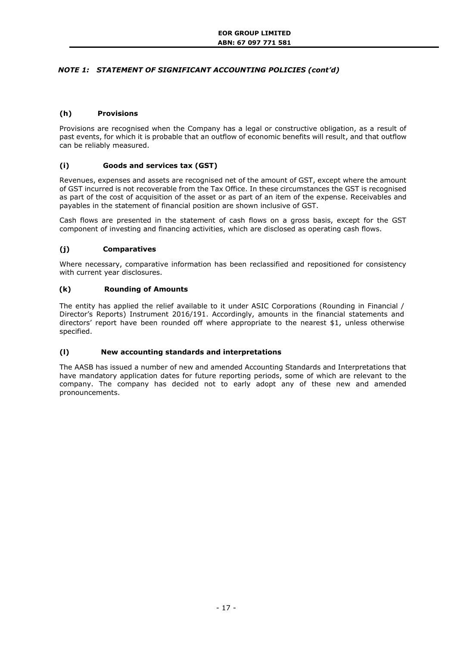# *NOTE 1: STATEMENT OF SIGNIFICANT ACCOUNTING POLICIES (cont'd)*

## **(h) Provisions**

Provisions are recognised when the Company has a legal or constructive obligation, as a result of past events, for which it is probable that an outflow of economic benefits will result, and that outflow can be reliably measured.

# **(i) Goods and services tax (GST)**

Revenues, expenses and assets are recognised net of the amount of GST, except where the amount of GST incurred is not recoverable from the Tax Office. In these circumstances the GST is recognised as part of the cost of acquisition of the asset or as part of an item of the expense. Receivables and payables in the statement of financial position are shown inclusive of GST.

Cash flows are presented in the statement of cash flows on a gross basis, except for the GST component of investing and financing activities, which are disclosed as operating cash flows.

# **(j) Comparatives**

Where necessary, comparative information has been reclassified and repositioned for consistency with current year disclosures.

### **(k) Rounding of Amounts**

The entity has applied the relief available to it under ASIC Corporations (Rounding in Financial / Director's Reports) Instrument 2016/191. Accordingly, amounts in the financial statements and directors' report have been rounded off where appropriate to the nearest \$1, unless otherwise specified.

### **(l) New accounting standards and interpretations**

The AASB has issued a number of new and amended Accounting Standards and Interpretations that have mandatory application dates for future reporting periods, some of which are relevant to the company. The company has decided not to early adopt any of these new and amended pronouncements.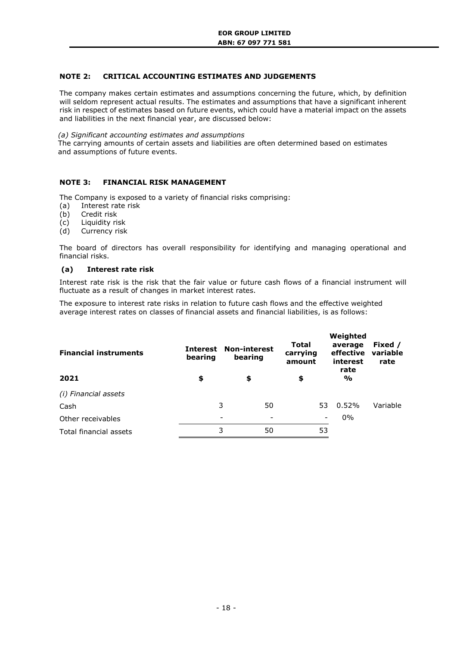# <span id="page-17-0"></span>**NOTE 2: CRITICAL ACCOUNTING ESTIMATES AND JUDGEMENTS**

The company makes certain estimates and assumptions concerning the future, which, by definition will seldom represent actual results. The estimates and assumptions that have a significant inherent risk in respect of estimates based on future events, which could have a material impact on the assets and liabilities in the next financial year, are discussed below:

#### *(a) Significant accounting estimates and assumptions*

The carrying amounts of certain assets and liabilities are often determined based on estimates and assumptions of future events.

# <span id="page-17-1"></span>**NOTE 3: FINANCIAL RISK MANAGEMENT**

The Company is exposed to a variety of financial risks comprising:

- (a) Interest rate risk
- (b) Credit risk
- (c) Liquidity risk
- (d) Currency risk

The board of directors has overall responsibility for identifying and managing operational and financial risks.

#### **(a) Interest rate risk**

Interest rate risk is the risk that the fair value or future cash flows of a financial instrument will fluctuate as a result of changes in market interest rates.

The exposure to interest rate risks in relation to future cash flows and the effective weighted average interest rates on classes of financial assets and financial liabilities, is as follows:

| <b>Financial instruments</b> | Interest<br>bearing | <b>Non-interest</b><br>bearing | <b>Total</b><br>carrying<br>amount | Weighted<br>average<br>effective<br>interest<br>rate | Fixed /<br>variable<br>rate |
|------------------------------|---------------------|--------------------------------|------------------------------------|------------------------------------------------------|-----------------------------|
| 2021                         | \$                  | \$                             | \$                                 | $\frac{0}{0}$                                        |                             |
| (i) Financial assets         |                     |                                |                                    |                                                      |                             |
| Cash                         |                     | 3<br>50                        | 53                                 | $0.52\%$                                             | Variable                    |
| Other receivables            |                     |                                |                                    | $0\%$                                                |                             |
| Total financial assets       |                     | 3<br>50                        | 53                                 |                                                      |                             |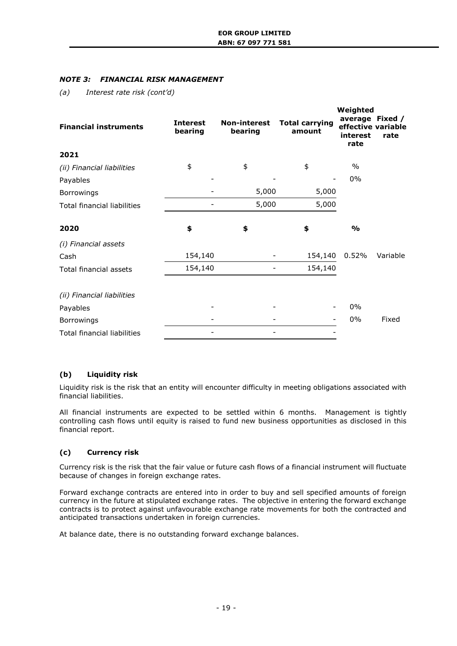# *NOTE 3: FINANCIAL RISK MANAGEMENT*

*(a) Interest rate risk (cont'd)*

| <b>Financial instruments</b>       | <b>Interest</b><br>bearing | <b>Non-interest</b><br>bearing | <b>Total carrying</b><br>amount | Weighted<br>interest<br>rate | average Fixed /<br>effective variable<br>rate |
|------------------------------------|----------------------------|--------------------------------|---------------------------------|------------------------------|-----------------------------------------------|
| 2021                               |                            |                                |                                 |                              |                                               |
| (ii) Financial liabilities         | \$                         | \$                             | \$                              | $\frac{0}{0}$                |                                               |
| Payables                           |                            |                                |                                 | 0%                           |                                               |
| Borrowings                         |                            | 5,000                          | 5,000                           |                              |                                               |
| <b>Total financial liabilities</b> |                            | 5,000                          | 5,000                           |                              |                                               |
| 2020                               | \$                         | \$                             | \$                              | $\frac{0}{0}$                |                                               |
| (i) Financial assets               |                            |                                |                                 |                              |                                               |
| Cash                               | 154,140                    |                                | 154,140                         | 0.52%                        | Variable                                      |
| <b>Total financial assets</b>      | 154,140                    |                                | 154,140                         |                              |                                               |
| (ii) Financial liabilities         |                            |                                |                                 |                              |                                               |
| Payables                           |                            |                                |                                 | 0%                           |                                               |
| Borrowings                         |                            |                                |                                 | 0%                           | Fixed                                         |
| <b>Total financial liabilities</b> |                            |                                |                                 |                              |                                               |

# **(b) Liquidity risk**

Liquidity risk is the risk that an entity will encounter difficulty in meeting obligations associated with financial liabilities.

All financial instruments are expected to be settled within 6 months. Management is tightly controlling cash flows until equity is raised to fund new business opportunities as disclosed in this financial report.

# **(c) Currency risk**

Currency risk is the risk that the fair value or future cash flows of a financial instrument will fluctuate because of changes in foreign exchange rates.

Forward exchange contracts are entered into in order to buy and sell specified amounts of foreign currency in the future at stipulated exchange rates. The objective in entering the forward exchange contracts is to protect against unfavourable exchange rate movements for both the contracted and anticipated transactions undertaken in foreign currencies.

At balance date, there is no outstanding forward exchange balances.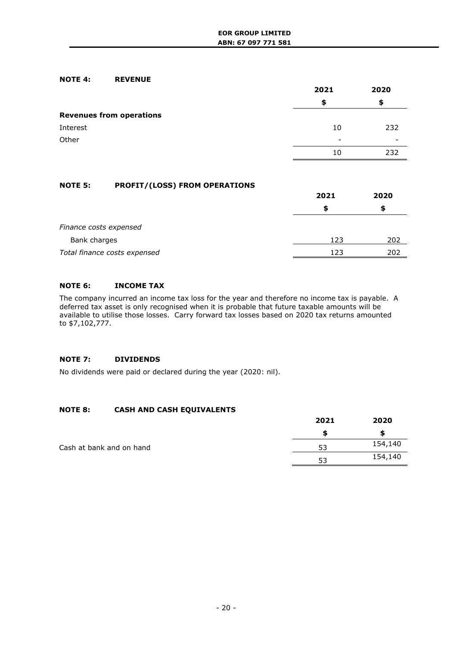## <span id="page-19-0"></span>**NOTE 4: REVENUE**

|                                 | 2021 | 2020 |  |
|---------------------------------|------|------|--|
|                                 | S    | S    |  |
| <b>Revenues from operations</b> |      |      |  |
| Interest                        | 10   | 232  |  |
| Other                           | -    | -    |  |
|                                 | 10   | 232  |  |

# <span id="page-19-1"></span>**NOTE 5: PROFIT/(LOSS) FROM OPERATIONS**

|                              | 2021 | 2020 |  |
|------------------------------|------|------|--|
|                              |      |      |  |
| Finance costs expensed       |      |      |  |
| Bank charges                 | 123  | 202  |  |
| Total finance costs expensed | 123  | 202  |  |

# <span id="page-19-2"></span>**NOTE 6: INCOME TAX**

The company incurred an income tax loss for the year and therefore no income tax is payable. A deferred tax asset is only recognised when it is probable that future taxable amounts will be available to utilise those losses. Carry forward tax losses based on 2020 tax returns amounted to \$7,102,777.

# <span id="page-19-3"></span>**NOTE 7: DIVIDENDS**

No dividends were paid or declared during the year (2020: nil).

# <span id="page-19-4"></span>**NOTE 8: CASH AND CASH EQUIVALENTS**

|                          | 2021 | 2020    |
|--------------------------|------|---------|
|                          |      |         |
| Cash at bank and on hand | 53   | 154,140 |
|                          | 53   | 154,140 |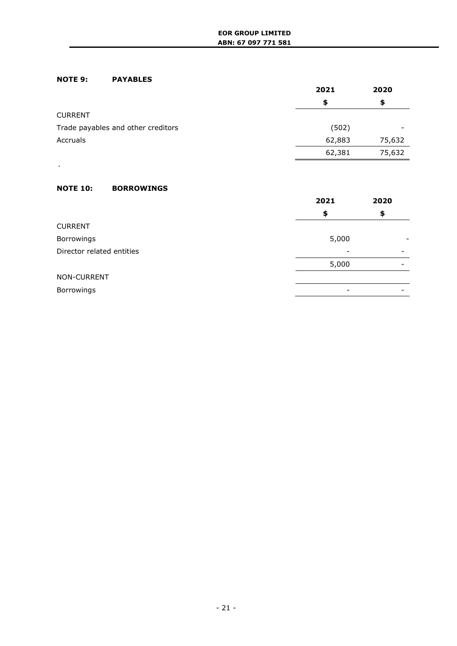# <span id="page-20-0"></span>**NOTE 9: PAYABLES**

|                                    | 2021   | 2020   |
|------------------------------------|--------|--------|
|                                    | \$     | \$     |
| <b>CURRENT</b>                     |        |        |
| Trade payables and other creditors | (502)  |        |
| Accruals                           | 62,883 | 75,632 |
|                                    | 62,381 | 75,632 |

# <span id="page-20-1"></span>**NOTE 10: BORROWINGS**

.

|                           | 2021  | 2020 |
|---------------------------|-------|------|
|                           | \$    | \$   |
| <b>CURRENT</b>            |       |      |
| Borrowings                | 5,000 |      |
| Director related entities |       |      |
|                           | 5,000 |      |
| NON-CURRENT               |       |      |
| Borrowings                |       |      |
|                           |       |      |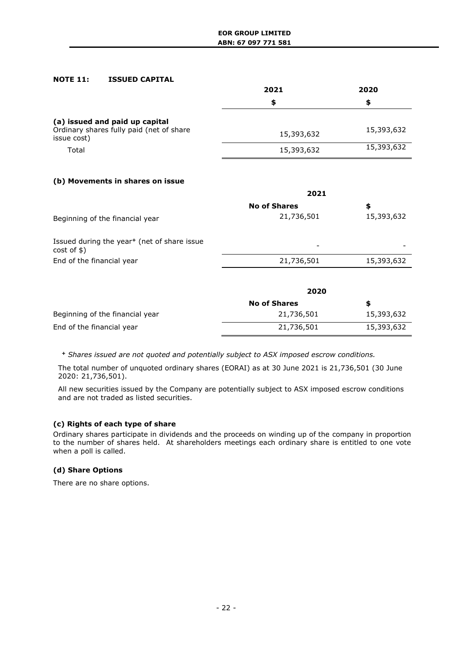## <span id="page-21-0"></span>**NOTE 11: ISSUED CAPITAL**

|                                                                                           | 2021       | 2020       |
|-------------------------------------------------------------------------------------------|------------|------------|
|                                                                                           | \$         | S          |
| (a) issued and paid up capital<br>Ordinary shares fully paid (net of share<br>issue cost) | 15,393,632 | 15,393,632 |
| Total                                                                                     | 15,393,632 | 15,393,632 |

# **(b) Movements in shares on issue**

|                                                                           | 2021                |            |  |
|---------------------------------------------------------------------------|---------------------|------------|--|
|                                                                           | <b>No of Shares</b> | \$         |  |
| Beginning of the financial year                                           | 21,736,501          | 15,393,632 |  |
| Issued during the year <sup>+</sup> (net of share issue<br>$cost$ of $$)$ | -                   |            |  |
| End of the financial year                                                 | 21,736,501          | 15,393,632 |  |
|                                                                           |                     |            |  |

|                                 | 2020                |            |  |
|---------------------------------|---------------------|------------|--|
|                                 | <b>No of Shares</b> | S          |  |
| Beginning of the financial year | 21,736,501          | 15,393,632 |  |
| End of the financial year       | 21,736,501          | 15,393,632 |  |

*<sup>+</sup> Shares issued are not quoted and potentially subject to ASX imposed escrow conditions.*

The total number of unquoted ordinary shares (EORAI) as at 30 June 2021 is 21,736,501 (30 June 2020: 21,736,501).

All new securities issued by the Company are potentially subject to ASX imposed escrow conditions and are not traded as listed securities.

# **(c) Rights of each type of share**

Ordinary shares participate in dividends and the proceeds on winding up of the company in proportion to the number of shares held. At shareholders meetings each ordinary share is entitled to one vote when a poll is called.

# **(d) Share Options**

There are no share options.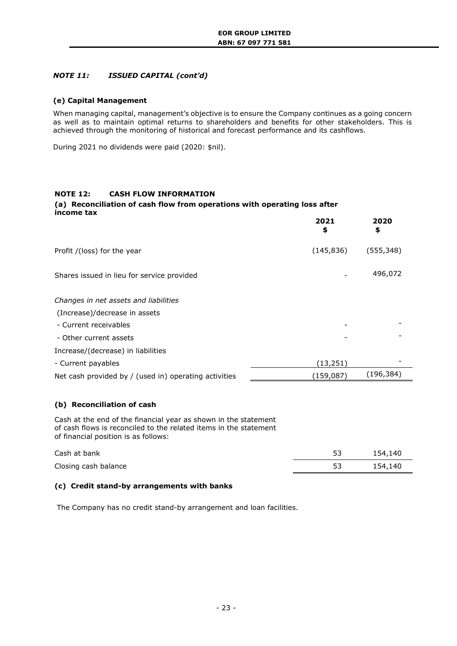# *NOTE 11: ISSUED CAPITAL (cont'd)*

## **(e) Capital Management**

When managing capital, management's objective is to ensure the Company continues as a going concern as well as to maintain optimal returns to shareholders and benefits for other stakeholders. This is achieved through the monitoring of historical and forecast performance and its cashflows.

During 2021 no dividends were paid (2020: \$nil).

### <span id="page-22-0"></span>**NOTE 12: CASH FLOW INFORMATION**

#### **(a) Reconciliation of cash flow from operations with operating loss after income tax**

|                                                       | 2021<br>\$ | 2020<br>\$ |
|-------------------------------------------------------|------------|------------|
| Profit /(loss) for the year                           | (145, 836) | (555, 348) |
| Shares issued in lieu for service provided            |            | 496,072    |
| Changes in net assets and liabilities                 |            |            |
| (Increase)/decrease in assets                         |            |            |
| - Current receivables                                 |            |            |
| - Other current assets                                |            |            |
| Increase/(decrease) in liabilities                    |            |            |
| - Current payables                                    | (13, 251)  |            |
| Net cash provided by / (used in) operating activities | (159,087)  | (196, 384) |

### **(b) Reconciliation of cash**

Cash at the end of the financial year as shown in the statement of cash flows is reconciled to the related items in the statement of financial position is as follows:

| Cash at bank         | ۔ ب | 154,140 |
|----------------------|-----|---------|
| Closing cash balance | 53  | 154,140 |

# **(c) Credit stand-by arrangements with banks**

The Company has no credit stand-by arrangement and loan facilities.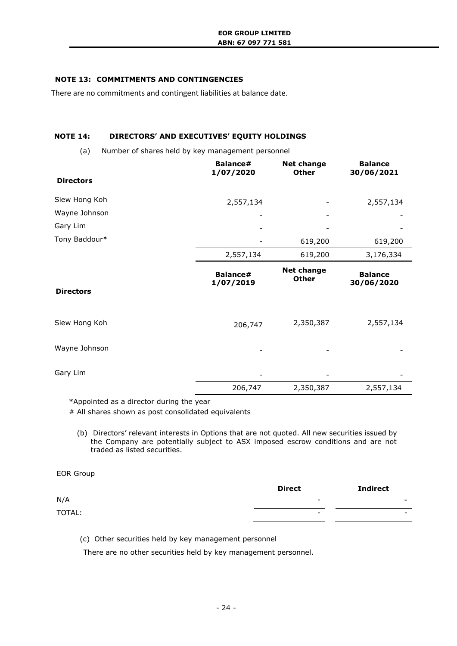# <span id="page-23-0"></span>**NOTE 13: COMMITMENTS AND CONTINGENCIES**

There are no commitments and contingent liabilities at balance date.

### <span id="page-23-1"></span>**NOTE 14: DIRECTORS' AND EXECUTIVES' EQUITY HOLDINGS**

(a) Number of shares held by key management personnel

|                  | Balance#<br>1/07/2020 | <b>Net change</b><br><b>Other</b> | <b>Balance</b><br>30/06/2021 |
|------------------|-----------------------|-----------------------------------|------------------------------|
| <b>Directors</b> |                       |                                   |                              |
| Siew Hong Koh    | 2,557,134             |                                   | 2,557,134                    |
| Wayne Johnson    |                       |                                   |                              |
| Gary Lim         |                       |                                   |                              |
| Tony Baddour*    |                       | 619,200                           | 619,200                      |
|                  | 2,557,134             | 619,200                           | 3,176,334                    |
|                  | Balance#<br>1/07/2019 | <b>Net change</b><br><b>Other</b> | <b>Balance</b><br>30/06/2020 |
| <b>Directors</b> |                       |                                   |                              |
| Siew Hong Koh    | 206,747               | 2,350,387                         | 2,557,134                    |
| Wayne Johnson    |                       |                                   |                              |
| Gary Lim         |                       |                                   |                              |
|                  | 206,747               | 2,350,387                         | 2,557,134                    |

\*Appointed as a director during the year

# All shares shown as post consolidated equivalents

(b) Directors' relevant interests in Options that are not quoted. All new securities issued by the Company are potentially subject to ASX imposed escrow conditions and are not traded as listed securities.

# EOR Group

|        | <b>Direct</b>            | <b>Indirect</b>          |
|--------|--------------------------|--------------------------|
| N/A    | $\overline{\phantom{0}}$ | $\overline{\phantom{a}}$ |
| TOTAL: | $\overline{\phantom{0}}$ | $\overline{\phantom{0}}$ |
|        |                          |                          |

(c) Other securities held by key management personnel

There are no other securities held by key management personnel.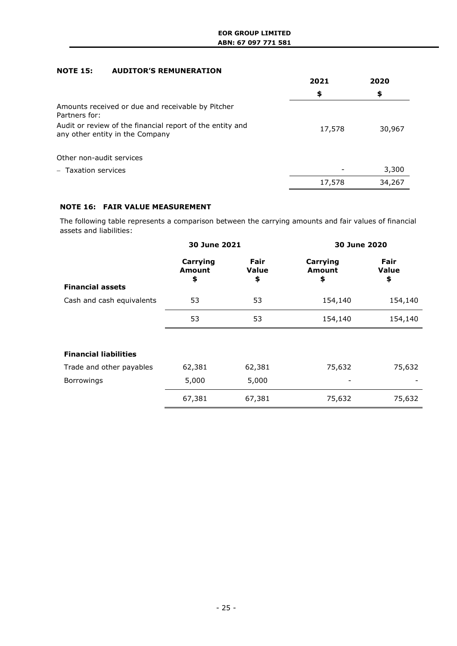# <span id="page-24-0"></span>**NOTE 15: AUDITOR'S REMUNERATION**

|                                                                                              | 2021   | 2020   |  |
|----------------------------------------------------------------------------------------------|--------|--------|--|
|                                                                                              | \$     | \$     |  |
| Amounts received or due and receivable by Pitcher<br>Partners for:                           |        |        |  |
| Audit or review of the financial report of the entity and<br>any other entity in the Company | 17,578 | 30,967 |  |
| Other non-audit services                                                                     |        |        |  |
| - Taxation services                                                                          |        | 3,300  |  |
|                                                                                              | 17,578 | 34,267 |  |

# **NOTE 16: FAIR VALUE MEASUREMENT**

The following table represents a comparison between the carrying amounts and fair values of financial assets and liabilities:

|                              | 30 June 2021                    |                                   | 30 June 2020             |                                   |
|------------------------------|---------------------------------|-----------------------------------|--------------------------|-----------------------------------|
| <b>Financial assets</b>      | Carrying<br><b>Amount</b><br>\$ | <b>Fair</b><br><b>Value</b><br>\$ | Carrying<br>Amount<br>\$ | <b>Fair</b><br><b>Value</b><br>\$ |
| Cash and cash equivalents    | 53                              | 53                                | 154,140                  | 154,140                           |
|                              | 53                              | 53                                | 154,140                  | 154,140                           |
|                              |                                 |                                   |                          |                                   |
| <b>Financial liabilities</b> |                                 |                                   |                          |                                   |
| Trade and other payables     | 62,381                          | 62,381                            | 75,632                   | 75,632                            |
| Borrowings                   | 5,000                           | 5,000                             |                          |                                   |
|                              | 67,381                          | 67,381                            | 75,632                   | 75,632                            |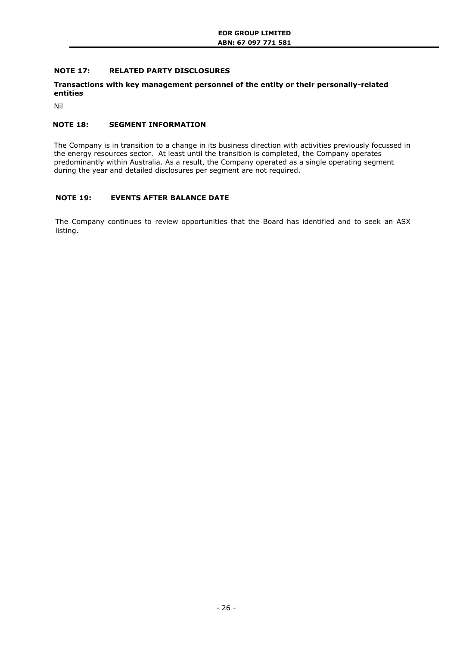# <span id="page-25-0"></span>**NOTE 17: RELATED PARTY DISCLOSURES**

### **Transactions with key management personnel of the entity or their personally-related entities**

Nil

# <span id="page-25-1"></span>**NOTE 18: SEGMENT INFORMATION**

The Company is in transition to a change in its business direction with activities previously focussed in the energy resources sector. At least until the transition is completed, the Company operates predominantly within Australia. As a result, the Company operated as a single operating segment during the year and detailed disclosures per segment are not required.

# <span id="page-25-2"></span>**NOTE 19: EVENTS AFTER BALANCE DATE**

The Company continues to review opportunities that the Board has identified and to seek an ASX listing.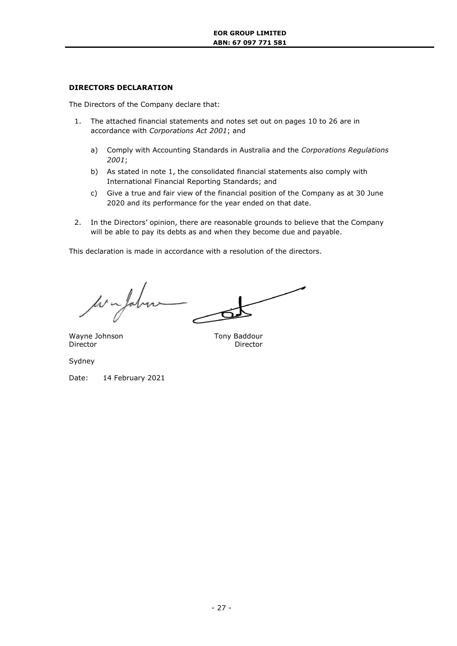# **DIRECTORS DECLARATION**

The Directors of the Company declare that:

- 1. The attached financial statements and notes set out on pages 10 to 26 are in accordance with *Corporations Act 2001*; and
	- a) Comply with Accounting Standards in Australia and the *Corporations Regulations 2001*;
	- b) As stated in note 1, the consolidated financial statements also comply with International Financial Reporting Standards; and
	- c) Give a true and fair view of the financial position of the Company as at 30 June 2020 and its performance for the year ended on that date.
- 2. In the Directors' opinion, there are reasonable grounds to believe that the Company will be able to pay its debts as and when they become due and payable.

This declaration is made in accordance with a resolution of the directors.

Wayne Johnson Tony Baddour Director Director

Sydney

Date: 14 February 2021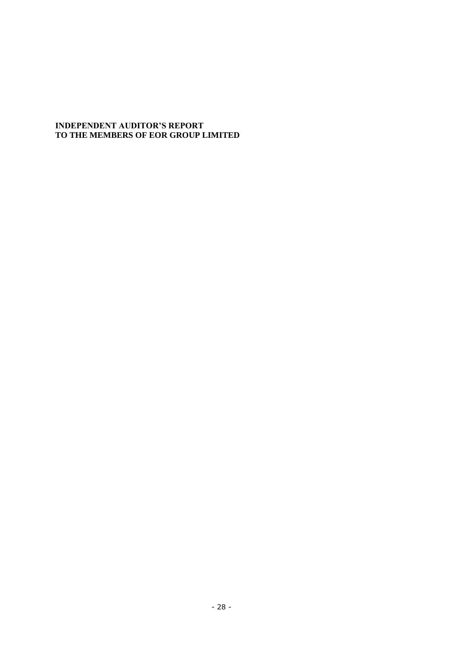# **INDEPENDENT AUDITOR'S REPORT TO THE MEMBERS OF EOR GROUP LIMITED**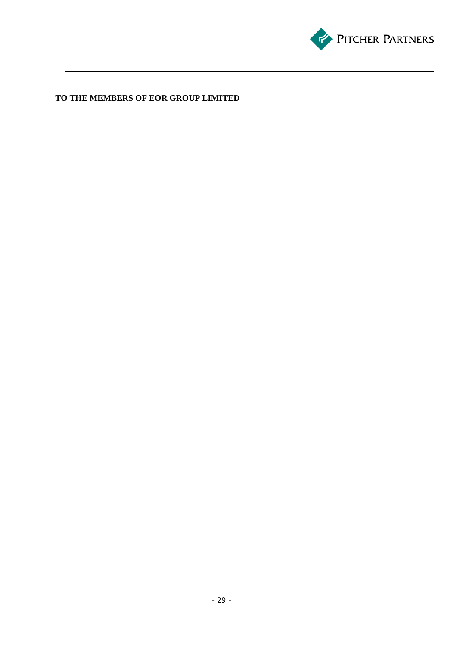

# **TO THE MEMBERS OF EOR GROUP LIMITED**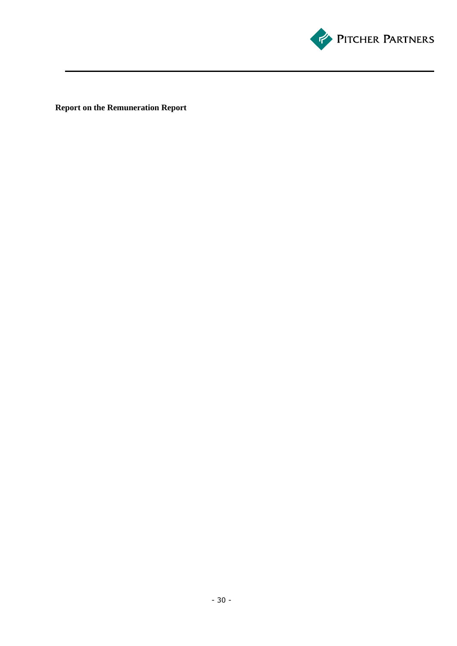

**Report on the Remuneration Report**